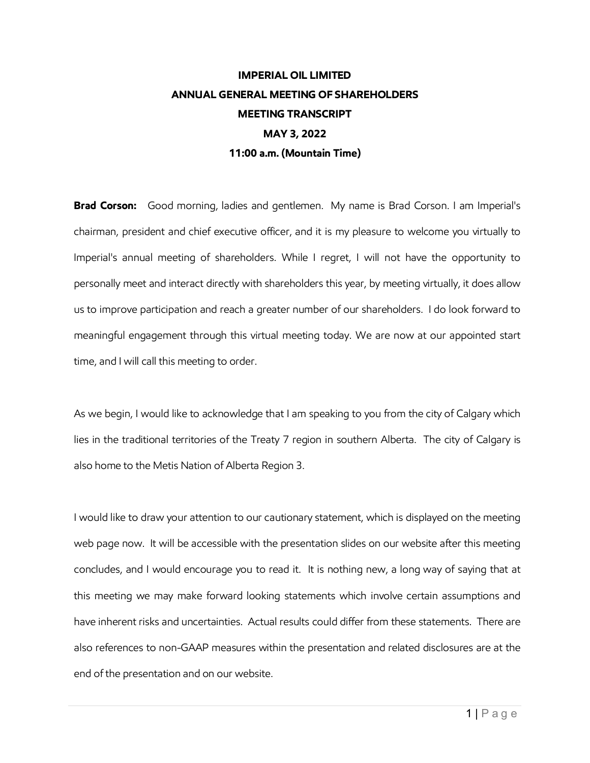## **IMPERIAL OIL LIMITED ANNUAL GENERAL MEETING OF SHAREHOLDERS MEETING TRANSCRIPT MAY 3, 2022 11:00 a.m. (Mountain Time)**

**Brad Corson:** Good morning, ladies and gentlemen. My name is Brad Corson. I am Imperial's chairman, president and chief executive officer, and it is my pleasure to welcome you virtually to Imperial's annual meeting of shareholders. While I regret, I will not have the opportunity to personally meet and interact directly with shareholders this year, by meeting virtually, it does allow us to improve participation and reach a greater number of our shareholders. I do look forward to meaningful engagement through this virtual meeting today. We are now at our appointed start time, and I will call this meeting to order.

As we begin, I would like to acknowledge that I am speaking to you from the city of Calgary which lies in the traditional territories of the Treaty 7 region in southern Alberta. The city of Calgary is also home to the Metis Nation of Alberta Region 3.

I would like to draw your attention to our cautionary statement, which is displayed on the meeting web page now. It will be accessible with the presentation slides on our website after this meeting concludes, and I would encourage you to read it. It is nothing new, a long way of saying that at this meeting we may make forward looking statements which involve certain assumptions and have inherent risks and uncertainties. Actual results could differ from these statements. There are also references to non-GAAP measures within the presentation and related disclosures are at the end of the presentation and on our website.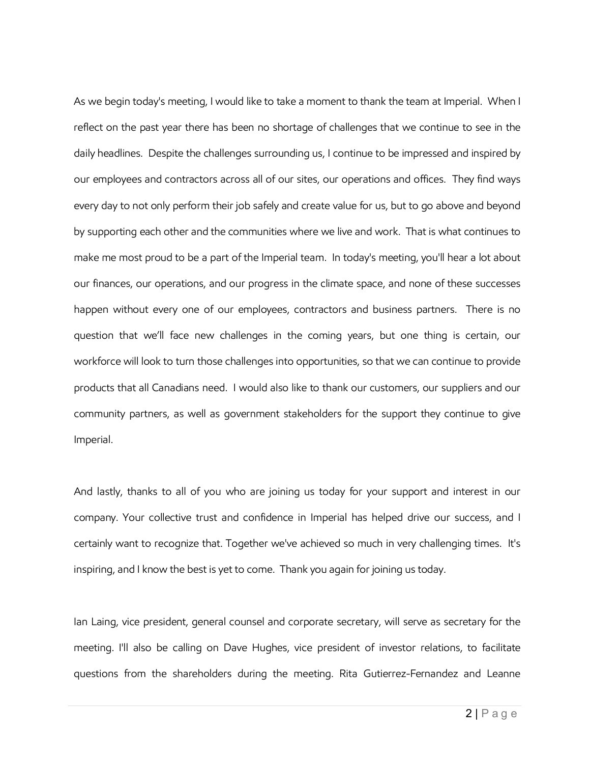As we begin today's meeting, I would like to take a moment to thank the team at Imperial. When I reflect on the past year there has been no shortage of challenges that we continue to see in the daily headlines. Despite the challenges surrounding us, I continue to be impressed and inspired by our employees and contractors across all of our sites, our operations and offices. They find ways every day to not only perform their job safely and create value for us, but to go above and beyond by supporting each other and the communities where we live and work. That is what continues to make me most proud to be a part of the Imperial team. In today's meeting, you'll hear a lot about our finances, our operations, and our progress in the climate space, and none of these successes happen without every one of our employees, contractors and business partners. There is no question that we'll face new challenges in the coming years, but one thing is certain, our workforce will look to turn those challenges into opportunities, so that we can continue to provide products that all Canadians need. I would also like to thank our customers, our suppliers and our community partners, as well as government stakeholders for the support they continue to give Imperial.

And lastly, thanks to all of you who are joining us today for your support and interest in our company. Your collective trust and confidence in Imperial has helped drive our success, and I certainly want to recognize that. Together we've achieved so much in very challenging times. It's inspiring, and I know the best is yet to come. Thank you again for joining us today.

Ian Laing, vice president, general counsel and corporate secretary, will serve as secretary for the meeting. I'll also be calling on Dave Hughes, vice president of investor relations, to facilitate questions from the shareholders during the meeting. Rita Gutierrez-Fernandez and Leanne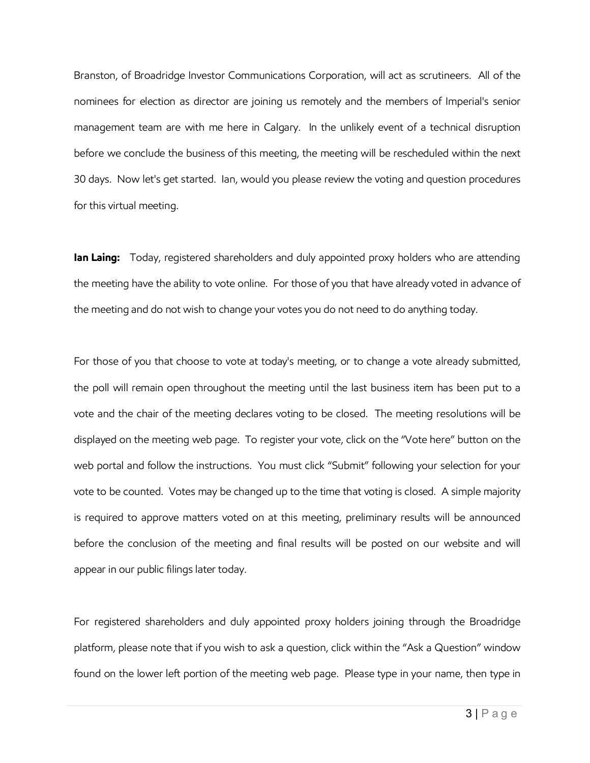Branston, of Broadridge Investor Communications Corporation, will act as scrutineers. All of the nominees for election as director are joining us remotely and the members of Imperial's senior management team are with me here in Calgary. In the unlikely event of a technical disruption before we conclude the business of this meeting, the meeting will be rescheduled within the next 30 days. Now let's get started. Ian, would you please review the voting and question procedures for this virtual meeting.

**Ian Laing:** Today, registered shareholders and duly appointed proxy holders who are attending the meeting have the ability to vote online. For those of you that have already voted in advance of the meeting and do not wish to change your votes you do not need to do anything today.

For those of you that choose to vote at today's meeting, or to change a vote already submitted, the poll will remain open throughout the meeting until the last business item has been put to a vote and the chair of the meeting declares voting to be closed. The meeting resolutions will be displayed on the meeting web page. To register your vote, click on the "Vote here" button on the web portal and follow the instructions. You must click "Submit" following your selection for your vote to be counted. Votes may be changed up to the time that voting is closed. A simple majority is required to approve matters voted on at this meeting, preliminary results will be announced before the conclusion of the meeting and final results will be posted on our website and will appear in our public filings later today.

For registered shareholders and duly appointed proxy holders joining through the Broadridge platform, please note that if you wish to ask a question, click within the "Ask a Question" window found on the lower left portion of the meeting web page. Please type in your name, then type in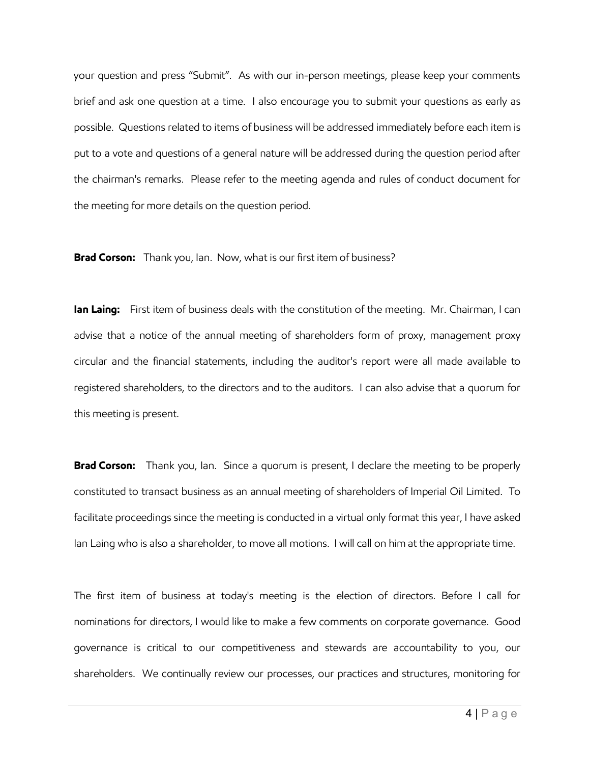your question and press "Submit". As with our in-person meetings, please keep your comments brief and ask one question at a time. I also encourage you to submit your questions as early as possible. Questions related to items of business will be addressed immediately before each item is put to a vote and questions of a general nature will be addressed during the question period after the chairman's remarks. Please refer to the meeting agenda and rules of conduct document for the meeting for more details on the question period.

**Brad Corson:** Thank you, Ian. Now, what is our first item of business?

**Ian Laing:** First item of business deals with the constitution of the meeting. Mr. Chairman, I can advise that a notice of the annual meeting of shareholders form of proxy, management proxy circular and the financial statements, including the auditor's report were all made available to registered shareholders, to the directors and to the auditors. I can also advise that a quorum for this meeting is present.

**Brad Corson:** Thank you, Ian. Since a quorum is present, I declare the meeting to be properly constituted to transact business as an annual meeting of shareholders of Imperial Oil Limited. To facilitate proceedings since the meeting is conducted in a virtual only format this year, I have asked Ian Laing who is also a shareholder, to move all motions. I will call on him at the appropriate time.

The first item of business at today's meeting is the election of directors. Before I call for nominations for directors, I would like to make a few comments on corporate governance. Good governance is critical to our competitiveness and stewards are accountability to you, our shareholders. We continually review our processes, our practices and structures, monitoring for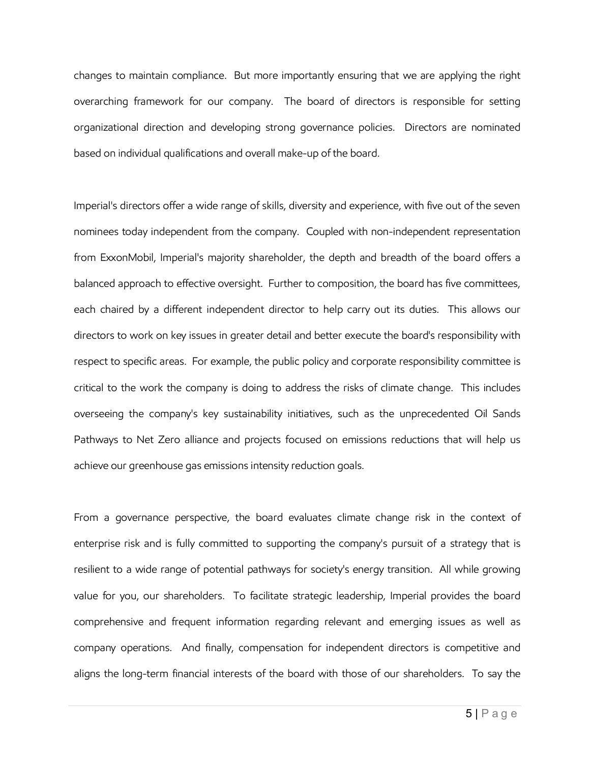changes to maintain compliance. But more importantly ensuring that we are applying the right overarching framework for our company. The board of directors is responsible for setting organizational direction and developing strong governance policies. Directors are nominated based on individual qualifications and overall make-up of the board.

Imperial's directors offer a wide range of skills, diversity and experience, with five out of the seven nominees today independent from the company. Coupled with non-independent representation from ExxonMobil, Imperial's majority shareholder, the depth and breadth of the board offers a balanced approach to effective oversight. Further to composition, the board has five committees, each chaired by a different independent director to help carry out its duties. This allows our directors to work on key issues in greater detail and better execute the board's responsibility with respect to specific areas. For example, the public policy and corporate responsibility committee is critical to the work the company is doing to address the risks of climate change. This includes overseeing the company's key sustainability initiatives, such as the unprecedented Oil Sands Pathways to Net Zero alliance and projects focused on emissions reductions that will help us achieve our greenhouse gas emissions intensity reduction goals.

From a governance perspective, the board evaluates climate change risk in the context of enterprise risk and is fully committed to supporting the company's pursuit of a strategy that is resilient to a wide range of potential pathways for society's energy transition. All while growing value for you, our shareholders. To facilitate strategic leadership, Imperial provides the board comprehensive and frequent information regarding relevant and emerging issues as well as company operations. And finally, compensation for independent directors is competitive and aligns the long-term financial interests of the board with those of our shareholders. To say the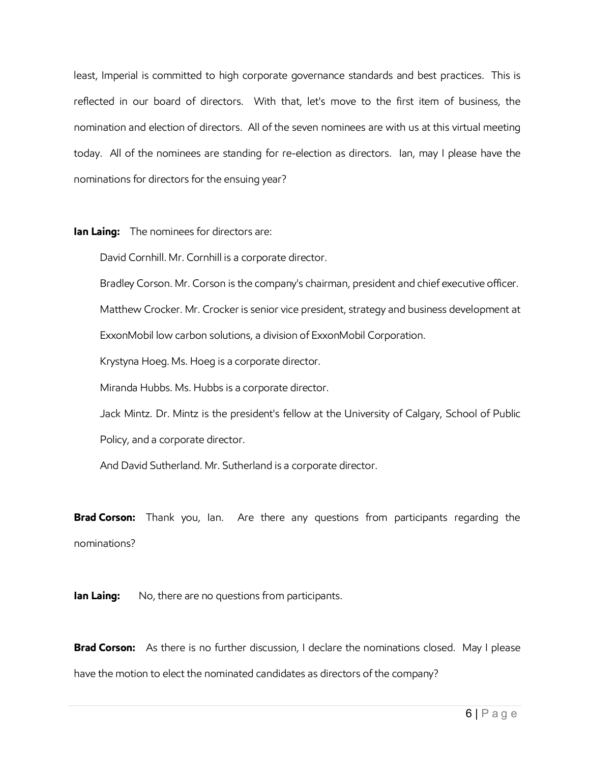least, Imperial is committed to high corporate governance standards and best practices. This is reflected in our board of directors. With that, let's move to the first item of business, the nomination and election of directors. All of the seven nominees are with us at this virtual meeting today. All of the nominees are standing for re-election as directors. Ian, may I please have the nominations for directors for the ensuing year?

## **Ian Laing:** The nominees for directors are:

David Cornhill. Mr. Cornhill is a corporate director.

Bradley Corson. Mr. Corson is the company's chairman, president and chief executive officer.

Matthew Crocker. Mr. Crocker is senior vice president, strategy and business development at

ExxonMobil low carbon solutions, a division of ExxonMobil Corporation.

Krystyna Hoeg. Ms. Hoeg is a corporate director.

Miranda Hubbs. Ms. Hubbs is a corporate director.

Jack Mintz. Dr. Mintz is the president's fellow at the University of Calgary, School of Public Policy, and a corporate director.

And David Sutherland. Mr. Sutherland is a corporate director.

**Brad Corson:** Thank you, Ian. Are there any questions from participants regarding the nominations?

**Ian Laing:** No, there are no questions from participants.

**Brad Corson:** As there is no further discussion, I declare the nominations closed. May I please have the motion to elect the nominated candidates as directors of the company?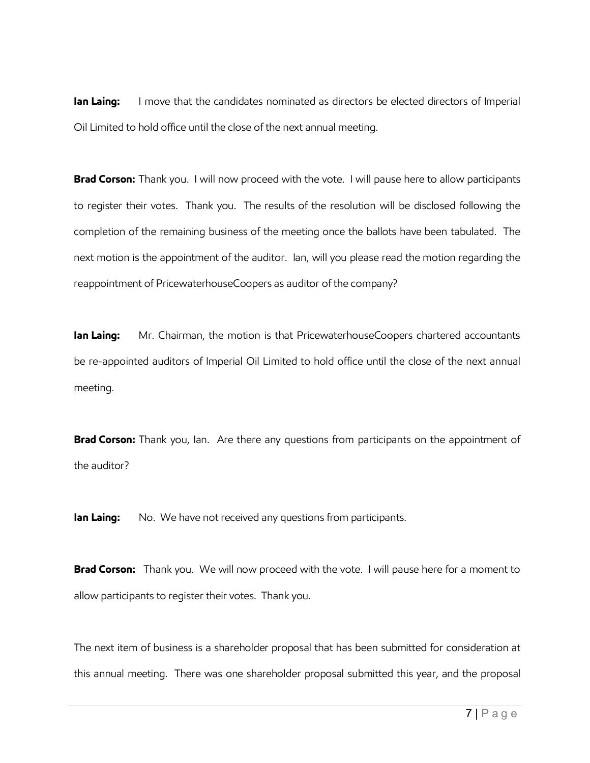**Ian Laing:** I move that the candidates nominated as directors be elected directors of Imperial Oil Limited to hold office until the close of the next annual meeting.

**Brad Corson:** Thank you. I will now proceed with the vote. I will pause here to allow participants to register their votes. Thank you. The results of the resolution will be disclosed following the completion of the remaining business of the meeting once the ballots have been tabulated. The next motion is the appointment of the auditor. Ian, will you please read the motion regarding the reappointment of PricewaterhouseCoopers as auditor of the company?

**Ian Laing:** Mr. Chairman, the motion is that PricewaterhouseCoopers chartered accountants be re-appointed auditors of Imperial Oil Limited to hold office until the close of the next annual meeting.

**Brad Corson:** Thank you, Ian. Are there any questions from participants on the appointment of the auditor?

**Ian Laing:** No. We have not received any questions from participants.

**Brad Corson:** Thank you. We will now proceed with the vote. I will pause here for a moment to allow participants to register their votes. Thank you.

The next item of business is a shareholder proposal that has been submitted for consideration at this annual meeting. There was one shareholder proposal submitted this year, and the proposal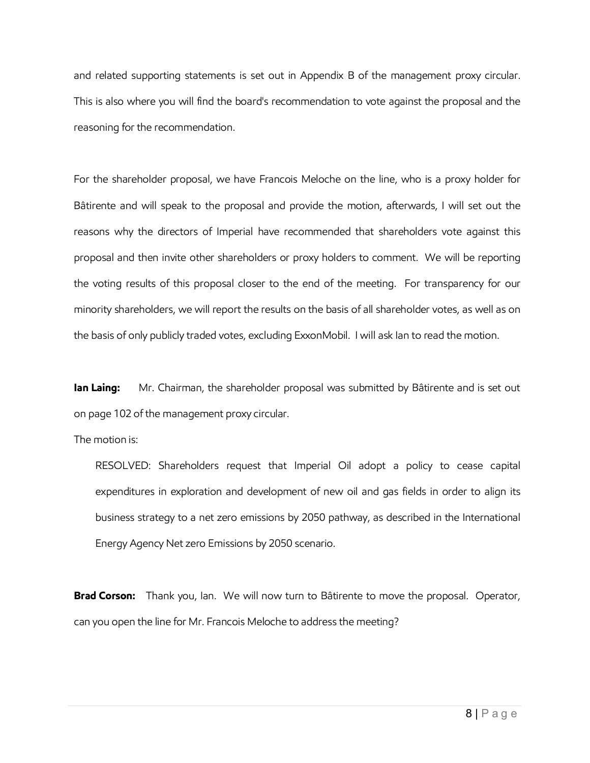and related supporting statements is set out in Appendix B of the management proxy circular. This is also where you will find the board's recommendation to vote against the proposal and the reasoning for the recommendation.

For the shareholder proposal, we have Francois Meloche on the line, who is a proxy holder for Bâtirente and will speak to the proposal and provide the motion, afterwards, I will set out the reasons why the directors of Imperial have recommended that shareholders vote against this proposal and then invite other shareholders or proxy holders to comment. We will be reporting the voting results of this proposal closer to the end of the meeting. For transparency for our minority shareholders, we will report the results on the basis of all shareholder votes, as well as on the basis of only publicly traded votes, excluding ExxonMobil. I will ask Ian to read the motion.

**Ian Laing:** Mr. Chairman, the shareholder proposal was submitted by Bâtirente and is set out on page 102 of the management proxy circular.

The motion is:

RESOLVED: Shareholders request that Imperial Oil adopt a policy to cease capital expenditures in exploration and development of new oil and gas fields in order to align its business strategy to a net zero emissions by 2050 pathway, as described in the International Energy Agency Net zero Emissions by 2050 scenario.

**Brad Corson:** Thank you, Ian. We will now turn to Bâtirente to move the proposal. Operator, can you open the line for Mr. Francois Meloche to address the meeting?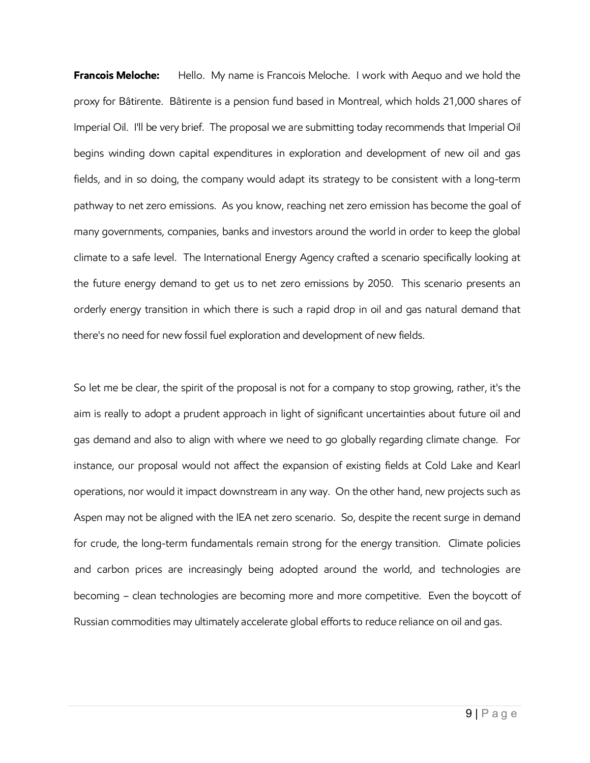**Francois Meloche:** Hello. My name is Francois Meloche. I work with Aequo and we hold the proxy for Bâtirente. Bâtirente is a pension fund based in Montreal, which holds 21,000 shares of Imperial Oil. I'll be very brief. The proposal we are submitting today recommends that Imperial Oil begins winding down capital expenditures in exploration and development of new oil and gas fields, and in so doing, the company would adapt its strategy to be consistent with a long-term pathway to net zero emissions. As you know, reaching net zero emission has become the goal of many governments, companies, banks and investors around the world in order to keep the global climate to a safe level. The International Energy Agency crafted a scenario specifically looking at the future energy demand to get us to net zero emissions by 2050. This scenario presents an orderly energy transition in which there is such a rapid drop in oil and gas natural demand that there's no need for new fossil fuel exploration and development of new fields.

So let me be clear, the spirit of the proposal is not for a company to stop growing, rather, it's the aim is really to adopt a prudent approach in light of significant uncertainties about future oil and gas demand and also to align with where we need to go globally regarding climate change. For instance, our proposal would not affect the expansion of existing fields at Cold Lake and Kearl operations, nor would it impact downstream in any way. On the other hand, new projects such as Aspen may not be aligned with the IEA net zero scenario. So, despite the recent surge in demand for crude, the long-term fundamentals remain strong for the energy transition. Climate policies and carbon prices are increasingly being adopted around the world, and technologies are becoming – clean technologies are becoming more and more competitive. Even the boycott of Russian commodities may ultimately accelerate global efforts to reduce reliance on oil and gas.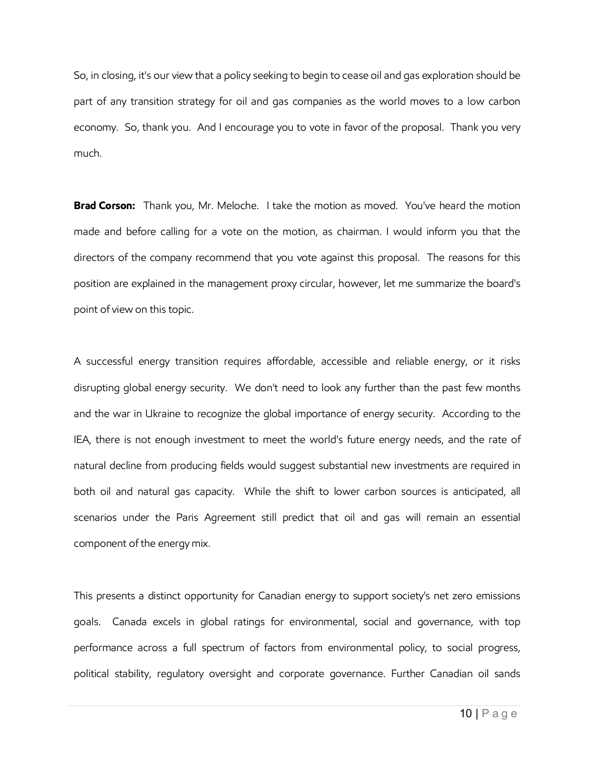So, in closing, it's our view that a policy seeking to begin to cease oil and gas exploration should be part of any transition strategy for oil and gas companies as the world moves to a low carbon economy. So, thank you. And I encourage you to vote in favor of the proposal. Thank you very much.

**Brad Corson:** Thank you, Mr. Meloche. I take the motion as moved. You've heard the motion made and before calling for a vote on the motion, as chairman. I would inform you that the directors of the company recommend that you vote against this proposal. The reasons for this position are explained in the management proxy circular, however, let me summarize the board's point of view on this topic.

A successful energy transition requires affordable, accessible and reliable energy, or it risks disrupting global energy security. We don't need to look any further than the past few months and the war in Ukraine to recognize the global importance of energy security. According to the IEA, there is not enough investment to meet the world's future energy needs, and the rate of natural decline from producing fields would suggest substantial new investments are required in both oil and natural gas capacity. While the shift to lower carbon sources is anticipated, all scenarios under the Paris Agreement still predict that oil and gas will remain an essential component of the energy mix.

This presents a distinct opportunity for Canadian energy to support society's net zero emissions goals. Canada excels in global ratings for environmental, social and governance, with top performance across a full spectrum of factors from environmental policy, to social progress, political stability, regulatory oversight and corporate governance. Further Canadian oil sands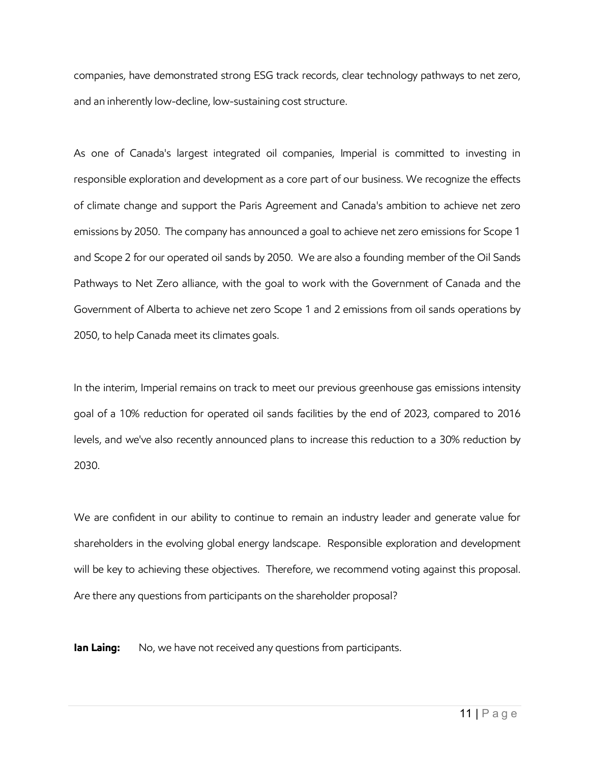companies, have demonstrated strong ESG track records, clear technology pathways to net zero, and an inherently low-decline, low-sustaining cost structure.

As one of Canada's largest integrated oil companies, Imperial is committed to investing in responsible exploration and development as a core part of our business. We recognize the effects of climate change and support the Paris Agreement and Canada's ambition to achieve net zero emissions by 2050. The company has announced a goal to achieve net zero emissions for Scope 1 and Scope 2 for our operated oil sands by 2050. We are also a founding member of the Oil Sands Pathways to Net Zero alliance, with the goal to work with the Government of Canada and the Government of Alberta to achieve net zero Scope 1 and 2 emissions from oil sands operations by 2050, to help Canada meet its climates goals.

In the interim, Imperial remains on track to meet our previous greenhouse gas emissions intensity goal of a 10% reduction for operated oil sands facilities by the end of 2023, compared to 2016 levels, and we've also recently announced plans to increase this reduction to a 30% reduction by 2030.

We are confident in our ability to continue to remain an industry leader and generate value for shareholders in the evolving global energy landscape. Responsible exploration and development will be key to achieving these objectives. Therefore, we recommend voting against this proposal. Are there any questions from participants on the shareholder proposal?

**Ian Laing:** No, we have not received any questions from participants.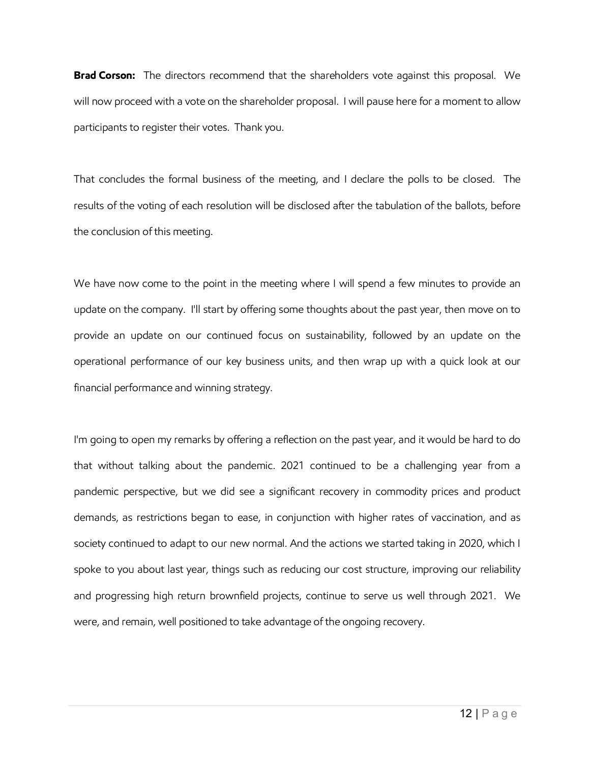**Brad Corson:** The directors recommend that the shareholders vote against this proposal. We will now proceed with a vote on the shareholder proposal. I will pause here for a moment to allow participants to register their votes. Thank you.

That concludes the formal business of the meeting, and I declare the polls to be closed. The results of the voting of each resolution will be disclosed after the tabulation of the ballots, before the conclusion of this meeting.

We have now come to the point in the meeting where I will spend a few minutes to provide an update on the company. I'll start by offering some thoughts about the past year, then move on to provide an update on our continued focus on sustainability, followed by an update on the operational performance of our key business units, and then wrap up with a quick look at our financial performance and winning strategy.

I'm going to open my remarks by offering a reflection on the past year, and it would be hard to do that without talking about the pandemic. 2021 continued to be a challenging year from a pandemic perspective, but we did see a significant recovery in commodity prices and product demands, as restrictions began to ease, in conjunction with higher rates of vaccination, and as society continued to adapt to our new normal. And the actions we started taking in 2020, which I spoke to you about last year, things such as reducing our cost structure, improving our reliability and progressing high return brownfield projects, continue to serve us well through 2021. We were, and remain, well positioned to take advantage of the ongoing recovery.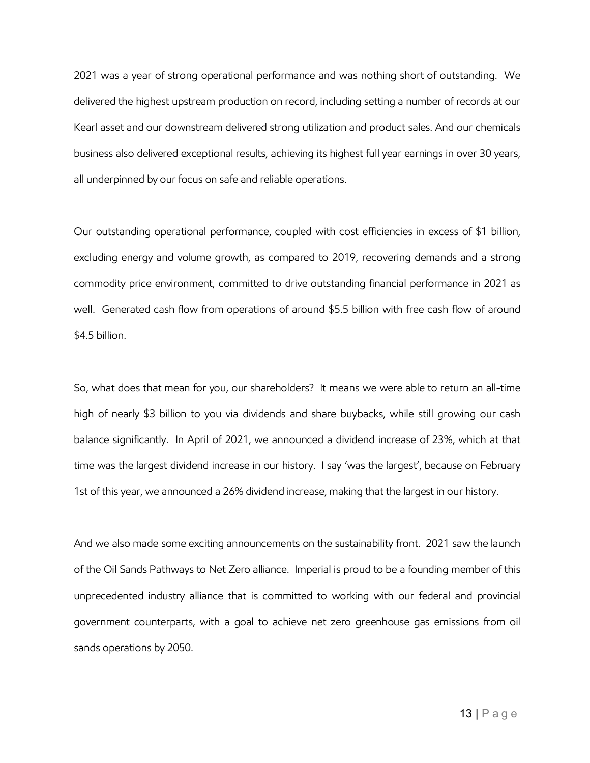2021 was a year of strong operational performance and was nothing short of outstanding. We delivered the highest upstream production on record, including setting a number of records at our Kearl asset and our downstream delivered strong utilization and product sales. And our chemicals business also delivered exceptional results, achieving its highest full year earnings in over 30 years, all underpinned by our focus on safe and reliable operations.

Our outstanding operational performance, coupled with cost efficiencies in excess of \$1 billion, excluding energy and volume growth, as compared to 2019, recovering demands and a strong commodity price environment, committed to drive outstanding financial performance in 2021 as well. Generated cash flow from operations of around \$5.5 billion with free cash flow of around \$4.5 billion.

So, what does that mean for you, our shareholders? It means we were able to return an all-time high of nearly \$3 billion to you via dividends and share buybacks, while still growing our cash balance significantly. In April of 2021, we announced a dividend increase of 23%, which at that time was the largest dividend increase in our history. I say 'was the largest', because on February 1st of this year, we announced a 26% dividend increase, making that the largest in our history.

And we also made some exciting announcements on the sustainability front. 2021 saw the launch of the Oil Sands Pathways to Net Zero alliance. Imperial is proud to be a founding member of this unprecedented industry alliance that is committed to working with our federal and provincial government counterparts, with a goal to achieve net zero greenhouse gas emissions from oil sands operations by 2050.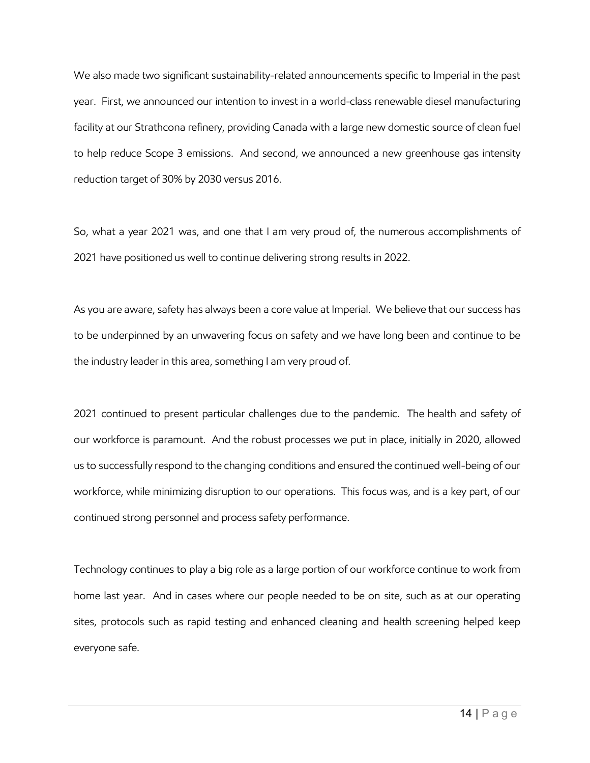We also made two significant sustainability-related announcements specific to Imperial in the past year. First, we announced our intention to invest in a world-class renewable diesel manufacturing facility at our Strathcona refinery, providing Canada with a large new domestic source of clean fuel to help reduce Scope 3 emissions. And second, we announced a new greenhouse gas intensity reduction target of 30% by 2030 versus 2016.

So, what a year 2021 was, and one that I am very proud of, the numerous accomplishments of 2021 have positioned us well to continue delivering strong results in 2022.

As you are aware, safety has always been a core value at Imperial. We believe that our success has to be underpinned by an unwavering focus on safety and we have long been and continue to be the industry leader in this area, something I am very proud of.

2021 continued to present particular challenges due to the pandemic. The health and safety of our workforce is paramount. And the robust processes we put in place, initially in 2020, allowed us to successfully respond to the changing conditions and ensured the continued well-being of our workforce, while minimizing disruption to our operations. This focus was, and is a key part, of our continued strong personnel and process safety performance.

Technology continues to play a big role as a large portion of our workforce continue to work from home last year. And in cases where our people needed to be on site, such as at our operating sites, protocols such as rapid testing and enhanced cleaning and health screening helped keep everyone safe.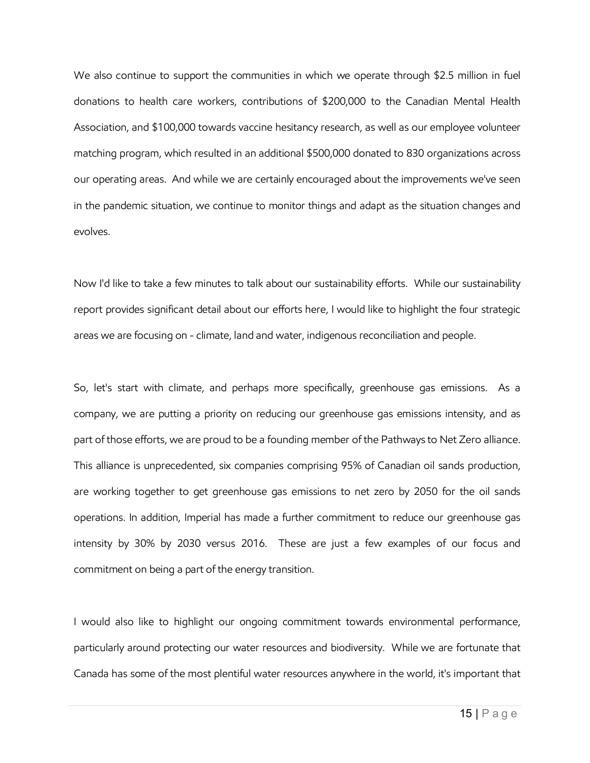We also continue to support the communities in which we operate through \$2.5 million in fuel donations to health care workers, contributions of \$200,000 to the Canadian Mental Health Association, and \$100,000 towards vaccine hesitancy research, as well as our employee volunteer matching program, which resulted in an additional \$500,000 donated to 830 organizations across our operating areas. And while we are certainly encouraged about the improvements we've seen in the pandemic situation, we continue to monitor things and adapt as the situation changes and evolves.

Now I'd like to take a few minutes to talk about our sustainability efforts. While our sustainability report provides significant detail about our efforts here, I would like to highlight the four strategic areas we are focusing on - climate, land and water, indigenous reconciliation and people.

So, let's start with climate, and perhaps more specifically, greenhouse gas emissions. As a company, we are putting a priority on reducing our greenhouse gas emissions intensity, and as part of those efforts, we are proud to be a founding member of the Pathways to Net Zero alliance. This alliance is unprecedented, six companies comprising 95% of Canadian oil sands production, are working together to get greenhouse gas emissions to net zero by 2050 for the oil sands operations. In addition, Imperial has made a further commitment to reduce our greenhouse gas intensity by 30% by 2030 versus 2016. These are just a few examples of our focus and commitment on being a part of the energy transition.

I would also like to highlight our ongoing commitment towards environmental performance, particularly around protecting our water resources and biodiversity. While we are fortunate that Canada has some of the most plentiful water resources anywhere in the world, it's important that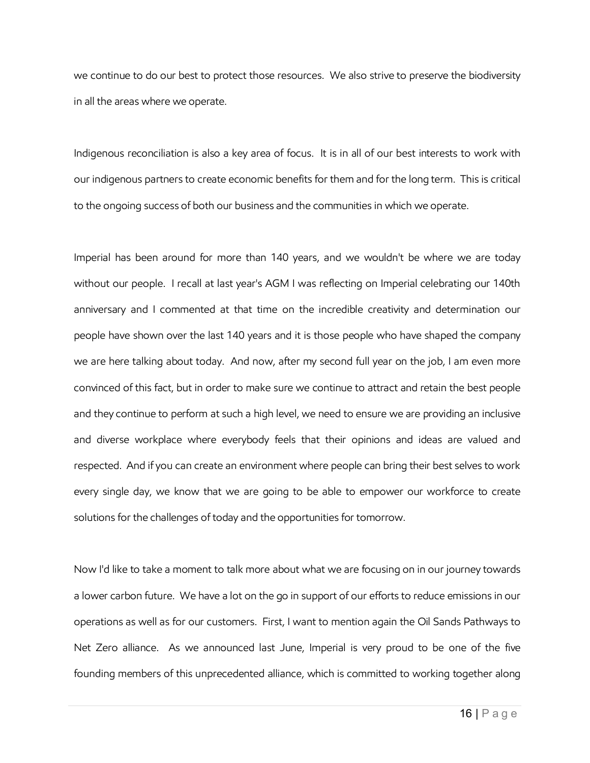we continue to do our best to protect those resources. We also strive to preserve the biodiversity in all the areas where we operate.

Indigenous reconciliation is also a key area of focus. It is in all of our best interests to work with our indigenous partners to create economic benefits for them and for the long term. This is critical to the ongoing success of both our business and the communities in which we operate.

Imperial has been around for more than 140 years, and we wouldn't be where we are today without our people. I recall at last year's AGM I was reflecting on Imperial celebrating our 140th anniversary and I commented at that time on the incredible creativity and determination our people have shown over the last 140 years and it is those people who have shaped the company we are here talking about today. And now, after my second full year on the job, I am even more convinced of this fact, but in order to make sure we continue to attract and retain the best people and they continue to perform at such a high level, we need to ensure we are providing an inclusive and diverse workplace where everybody feels that their opinions and ideas are valued and respected. And if you can create an environment where people can bring their best selves to work every single day, we know that we are going to be able to empower our workforce to create solutions for the challenges of today and the opportunities for tomorrow.

Now I'd like to take a moment to talk more about what we are focusing on in our journey towards a lower carbon future. We have a lot on the go in support of our efforts to reduce emissions in our operations as well as for our customers. First, I want to mention again the Oil Sands Pathways to Net Zero alliance. As we announced last June, Imperial is very proud to be one of the five founding members of this unprecedented alliance, which is committed to working together along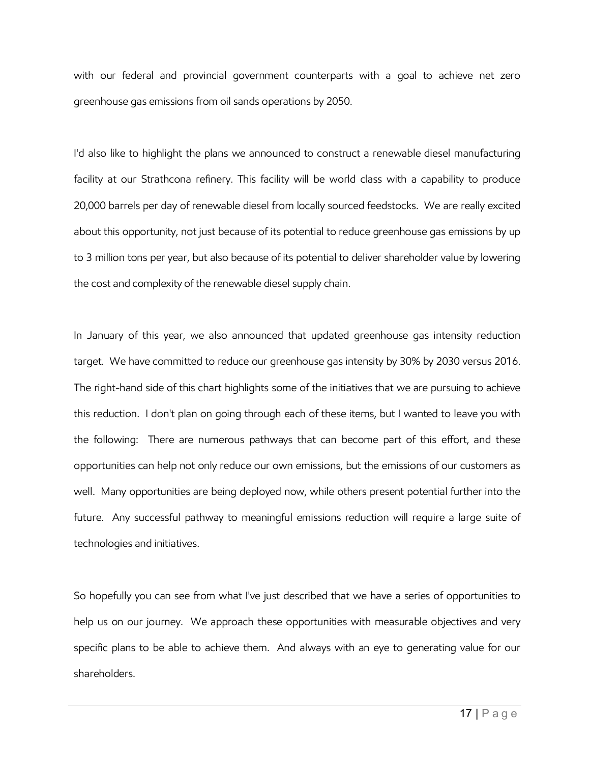with our federal and provincial government counterparts with a goal to achieve net zero greenhouse gas emissions from oil sands operations by 2050.

I'd also like to highlight the plans we announced to construct a renewable diesel manufacturing facility at our Strathcona refinery. This facility will be world class with a capability to produce 20,000 barrels per day of renewable diesel from locally sourced feedstocks. We are really excited about this opportunity, not just because of its potential to reduce greenhouse gas emissions by up to 3 million tons per year, but also because of its potential to deliver shareholder value by lowering the cost and complexity of the renewable diesel supply chain.

In January of this year, we also announced that updated greenhouse gas intensity reduction target. We have committed to reduce our greenhouse gas intensity by 30% by 2030 versus 2016. The right-hand side of this chart highlights some of the initiatives that we are pursuing to achieve this reduction. I don't plan on going through each of these items, but I wanted to leave you with the following: There are numerous pathways that can become part of this effort, and these opportunities can help not only reduce our own emissions, but the emissions of our customers as well. Many opportunities are being deployed now, while others present potential further into the future. Any successful pathway to meaningful emissions reduction will require a large suite of technologies and initiatives.

So hopefully you can see from what I've just described that we have a series of opportunities to help us on our journey. We approach these opportunities with measurable objectives and very specific plans to be able to achieve them. And always with an eye to generating value for our shareholders.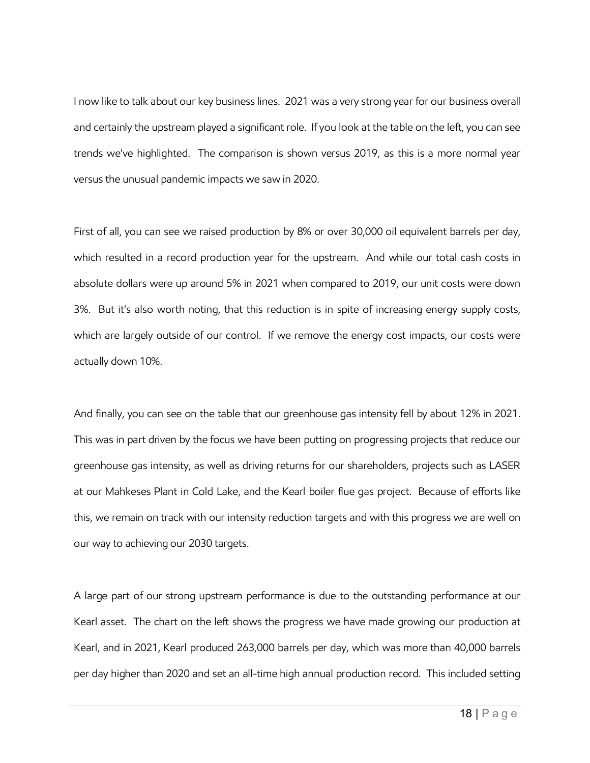I now like to talk about our key business lines. 2021 was a very strong year for our business overall and certainly the upstream played a significant role. If you look at the table on the left, you can see trends we've highlighted. The comparison is shown versus 2019, as this is a more normal year versus the unusual pandemic impacts we saw in 2020.

First of all, you can see we raised production by 8% or over 30,000 oil equivalent barrels per day, which resulted in a record production year for the upstream. And while our total cash costs in absolute dollars were up around 5% in 2021 when compared to 2019, our unit costs were down 3%. But it's also worth noting, that this reduction is in spite of increasing energy supply costs, which are largely outside of our control. If we remove the energy cost impacts, our costs were actually down 10%.

And finally, you can see on the table that our greenhouse gas intensity fell by about 12% in 2021. This was in part driven by the focus we have been putting on progressing projects that reduce our greenhouse gas intensity, as well as driving returns for our shareholders, projects such as LASER at our Mahkeses Plant in Cold Lake, and the Kearl boiler flue gas project. Because of efforts like this, we remain on track with our intensity reduction targets and with this progress we are well on our way to achieving our 2030 targets.

A large part of our strong upstream performance is due to the outstanding performance at our Kearl asset. The chart on the left shows the progress we have made growing our production at Kearl, and in 2021, Kearl produced 263,000 barrels per day, which was more than 40,000 barrels per day higher than 2020 and set an all-time high annual production record. This included setting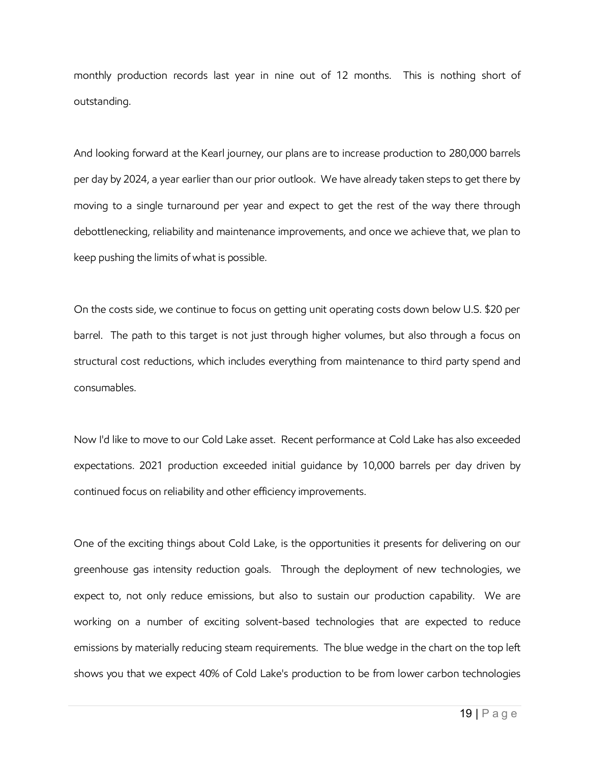monthly production records last year in nine out of 12 months. This is nothing short of outstanding.

And looking forward at the Kearl journey, our plans are to increase production to 280,000 barrels per day by 2024, a year earlier than our prior outlook. We have already taken steps to get there by moving to a single turnaround per year and expect to get the rest of the way there through debottlenecking, reliability and maintenance improvements, and once we achieve that, we plan to keep pushing the limits of what is possible.

On the costs side, we continue to focus on getting unit operating costs down below U.S. \$20 per barrel. The path to this target is not just through higher volumes, but also through a focus on structural cost reductions, which includes everything from maintenance to third party spend and consumables.

Now I'd like to move to our Cold Lake asset. Recent performance at Cold Lake has also exceeded expectations. 2021 production exceeded initial guidance by 10,000 barrels per day driven by continued focus on reliability and other efficiency improvements.

One of the exciting things about Cold Lake, is the opportunities it presents for delivering on our greenhouse gas intensity reduction goals. Through the deployment of new technologies, we expect to, not only reduce emissions, but also to sustain our production capability. We are working on a number of exciting solvent-based technologies that are expected to reduce emissions by materially reducing steam requirements. The blue wedge in the chart on the top left shows you that we expect 40% of Cold Lake's production to be from lower carbon technologies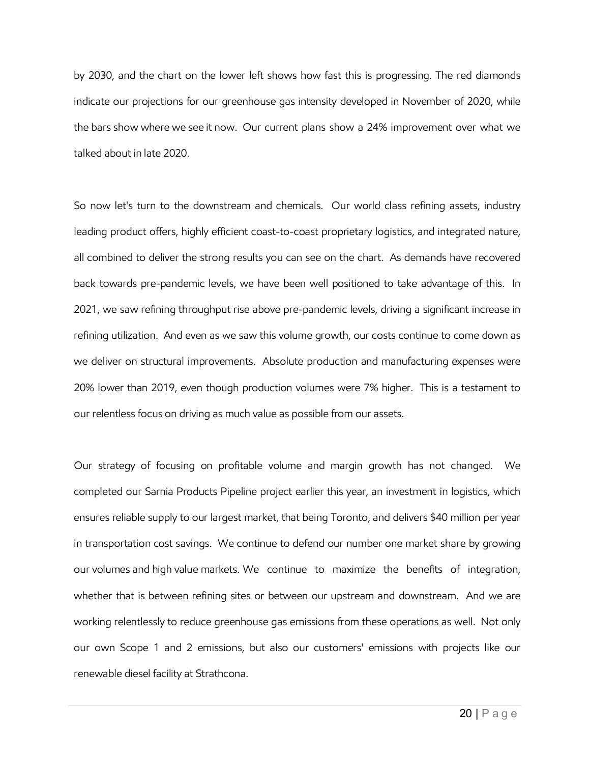by 2030, and the chart on the lower left shows how fast this is progressing. The red diamonds indicate our projections for our greenhouse gas intensity developed in November of 2020, while the bars show where we see it now. Our current plans show a 24% improvement over what we talked about in late 2020.

So now let's turn to the downstream and chemicals. Our world class refining assets, industry leading product offers, highly efficient coast-to-coast proprietary logistics, and integrated nature, all combined to deliver the strong results you can see on the chart. As demands have recovered back towards pre-pandemic levels, we have been well positioned to take advantage of this. In 2021, we saw refining throughput rise above pre-pandemic levels, driving a significant increase in refining utilization. And even as we saw this volume growth, our costs continue to come down as we deliver on structural improvements. Absolute production and manufacturing expenses were 20% lower than 2019, even though production volumes were 7% higher. This is a testament to our relentless focus on driving as much value as possible from our assets.

Our strategy of focusing on profitable volume and margin growth has not changed. We completed our Sarnia Products Pipeline project earlier this year, an investment in logistics, which ensures reliable supply to our largest market, that being Toronto, and delivers \$40 million per year in transportation cost savings. We continue to defend our number one market share by growing our volumes and high value markets. We continue to maximize the benefits of integration, whether that is between refining sites or between our upstream and downstream. And we are working relentlessly to reduce greenhouse gas emissions from these operations as well. Not only our own Scope 1 and 2 emissions, but also our customers' emissions with projects like our renewable diesel facility at Strathcona.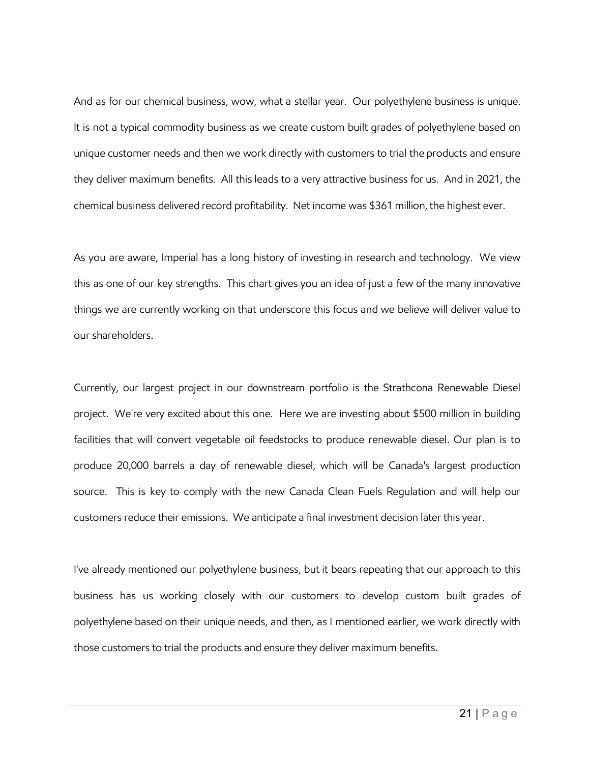And as for our chemical business, wow, what a stellar year. Our polyethylene business is unique. It is not a typical commodity business as we create custom built grades of polyethylene based on unique customer needs and then we work directly with customers to trial the products and ensure they deliver maximum benefits. All this leads to a very attractive business for us. And in 2021, the chemical business delivered record profitability. Net income was \$361 million, the highest ever.

As you are aware, Imperial has a long history of investing in research and technology. We view this as one of our key strengths. This chart gives you an idea of just a few of the many innovative things we are currently working on that underscore this focus and we believe will deliver value to our shareholders.

Currently, our largest project in our downstream portfolio is the Strathcona Renewable Diesel project. We're very excited about this one. Here we are investing about \$500 million in building facilities that will convert vegetable oil feedstocks to produce renewable diesel. Our plan is to produce 20,000 barrels a day of renewable diesel, which will be Canada's largest production source. This is key to comply with the new Canada Clean Fuels Regulation and will help our customers reduce their emissions. We anticipate a final investment decision later this year.

I've already mentioned our polyethylene business, but it bears repeating that our approach to this business has us working closely with our customers to develop custom built grades of polyethylene based on their unique needs, and then, as I mentioned earlier, we work directly with those customers to trial the products and ensure they deliver maximum benefits.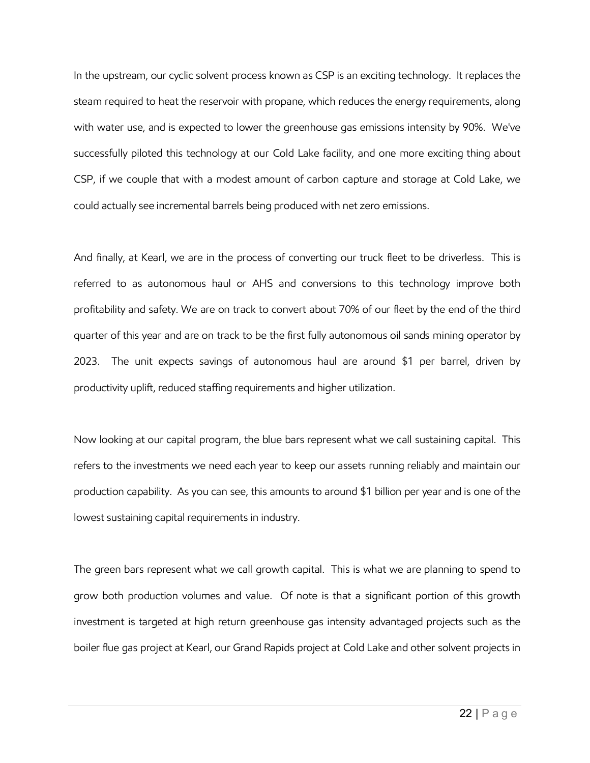In the upstream, our cyclic solvent process known as CSP is an exciting technology. It replaces the steam required to heat the reservoir with propane, which reduces the energy requirements, along with water use, and is expected to lower the greenhouse gas emissions intensity by 90%. We've successfully piloted this technology at our Cold Lake facility, and one more exciting thing about CSP, if we couple that with a modest amount of carbon capture and storage at Cold Lake, we could actually see incremental barrels being produced with net zero emissions.

And finally, at Kearl, we are in the process of converting our truck fleet to be driverless. This is referred to as autonomous haul or AHS and conversions to this technology improve both profitability and safety. We are on track to convert about 70% of our fleet by the end of the third quarter of this year and are on track to be the first fully autonomous oil sands mining operator by 2023. The unit expects savings of autonomous haul are around \$1 per barrel, driven by productivity uplift, reduced staffing requirements and higher utilization.

Now looking at our capital program, the blue bars represent what we call sustaining capital. This refers to the investments we need each year to keep our assets running reliably and maintain our production capability. As you can see, this amounts to around \$1 billion per year and is one of the lowest sustaining capital requirements in industry.

The green bars represent what we call growth capital. This is what we are planning to spend to grow both production volumes and value. Of note is that a significant portion of this growth investment is targeted at high return greenhouse gas intensity advantaged projects such as the boiler flue gas project at Kearl, our Grand Rapids project at Cold Lake and other solvent projects in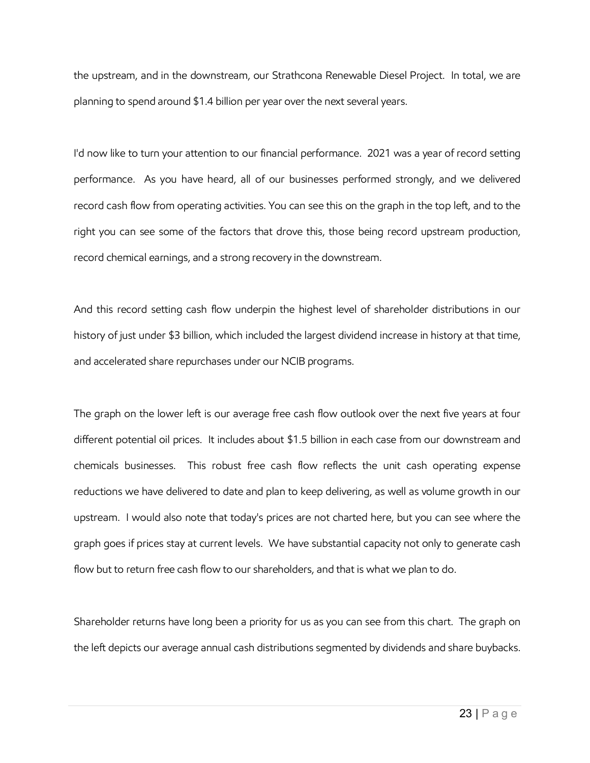the upstream, and in the downstream, our Strathcona Renewable Diesel Project. In total, we are planning to spend around \$1.4 billion per year over the next several years.

I'd now like to turn your attention to our financial performance. 2021 was a year of record setting performance. As you have heard, all of our businesses performed strongly, and we delivered record cash flow from operating activities. You can see this on the graph in the top left, and to the right you can see some of the factors that drove this, those being record upstream production, record chemical earnings, and a strong recovery in the downstream.

And this record setting cash flow underpin the highest level of shareholder distributions in our history of just under \$3 billion, which included the largest dividend increase in history at that time, and accelerated share repurchases under our NCIB programs.

The graph on the lower left is our average free cash flow outlook over the next five years at four different potential oil prices. It includes about \$1.5 billion in each case from our downstream and chemicals businesses. This robust free cash flow reflects the unit cash operating expense reductions we have delivered to date and plan to keep delivering, as well as volume growth in our upstream. I would also note that today's prices are not charted here, but you can see where the graph goes if prices stay at current levels. We have substantial capacity not only to generate cash flow but to return free cash flow to our shareholders, and that is what we plan to do.

Shareholder returns have long been a priority for us as you can see from this chart. The graph on the left depicts our average annual cash distributions segmented by dividends and share buybacks.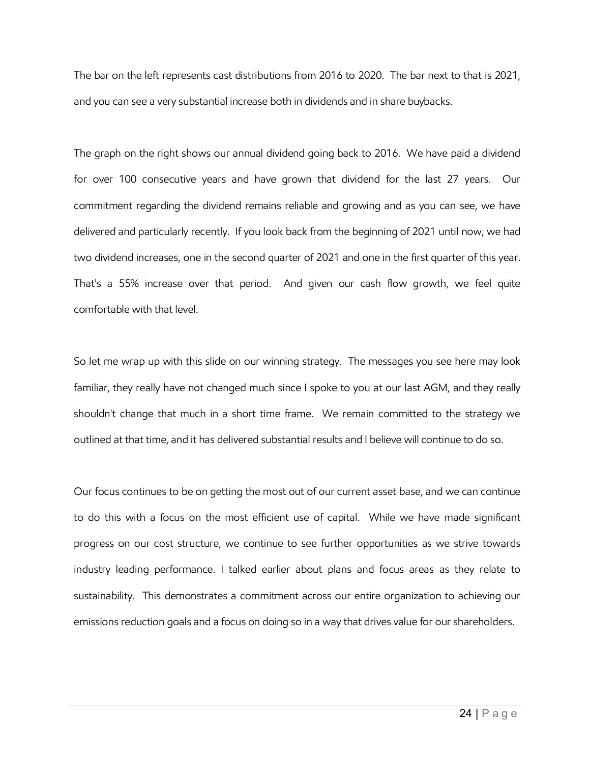The bar on the left represents cast distributions from 2016 to 2020. The bar next to that is 2021, and you can see a very substantial increase both in dividends and in share buybacks.

The graph on the right shows our annual dividend going back to 2016. We have paid a dividend for over 100 consecutive years and have grown that dividend for the last 27 years. Our commitment regarding the dividend remains reliable and growing and as you can see, we have delivered and particularly recently. If you look back from the beginning of 2021 until now, we had two dividend increases, one in the second quarter of 2021 and one in the first quarter of this year. That's a 55% increase over that period. And given our cash flow growth, we feel quite comfortable with that level.

So let me wrap up with this slide on our winning strategy. The messages you see here may look familiar, they really have not changed much since I spoke to you at our last AGM, and they really shouldn't change that much in a short time frame. We remain committed to the strategy we outlined at that time, and it has delivered substantial results and I believe will continue to do so.

Our focus continues to be on getting the most out of our current asset base, and we can continue to do this with a focus on the most efficient use of capital. While we have made significant progress on our cost structure, we continue to see further opportunities as we strive towards industry leading performance. I talked earlier about plans and focus areas as they relate to sustainability. This demonstrates a commitment across our entire organization to achieving our emissions reduction goals and a focus on doing so in a way that drives value for our shareholders.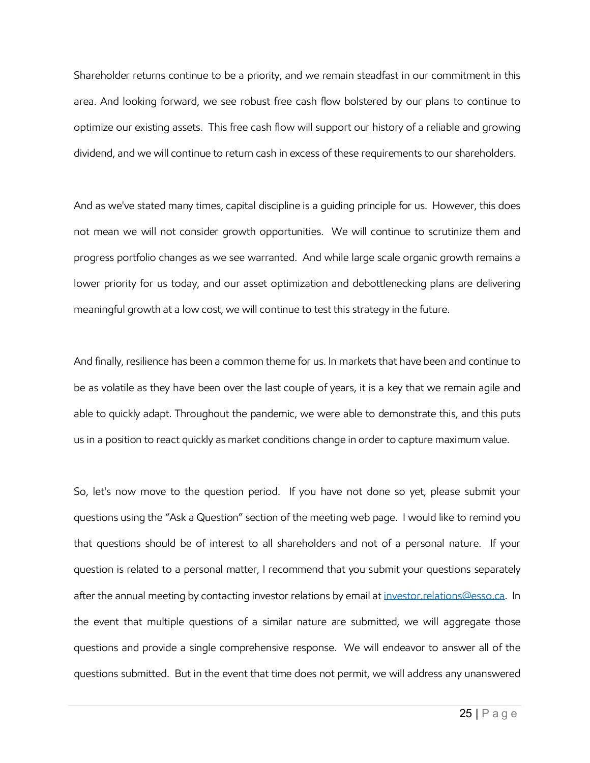Shareholder returns continue to be a priority, and we remain steadfast in our commitment in this area. And looking forward, we see robust free cash flow bolstered by our plans to continue to optimize our existing assets. This free cash flow will support our history of a reliable and growing dividend, and we will continue to return cash in excess of these requirements to our shareholders.

And as we've stated many times, capital discipline is a guiding principle for us. However, this does not mean we will not consider growth opportunities. We will continue to scrutinize them and progress portfolio changes as we see warranted. And while large scale organic growth remains a lower priority for us today, and our asset optimization and debottlenecking plans are delivering meaningful growth at a low cost, we will continue to test this strategy in the future.

And finally, resilience has been a common theme for us. In markets that have been and continue to be as volatile as they have been over the last couple of years, it is a key that we remain agile and able to quickly adapt. Throughout the pandemic, we were able to demonstrate this, and this puts us in a position to react quickly as market conditions change in order to capture maximum value.

So, let's now move to the question period. If you have not done so yet, please submit your questions using the "Ask a Question" section of the meeting web page. I would like to remind you that questions should be of interest to all shareholders and not of a personal nature. If your question is related to a personal matter, I recommend that you submit your questions separately after the annual meeting by contacting investor relations by email at [investor.relations@esso.ca.](mailto:investor.relations@esso.ca) In the event that multiple questions of a similar nature are submitted, we will aggregate those questions and provide a single comprehensive response. We will endeavor to answer all of the questions submitted. But in the event that time does not permit, we will address any unanswered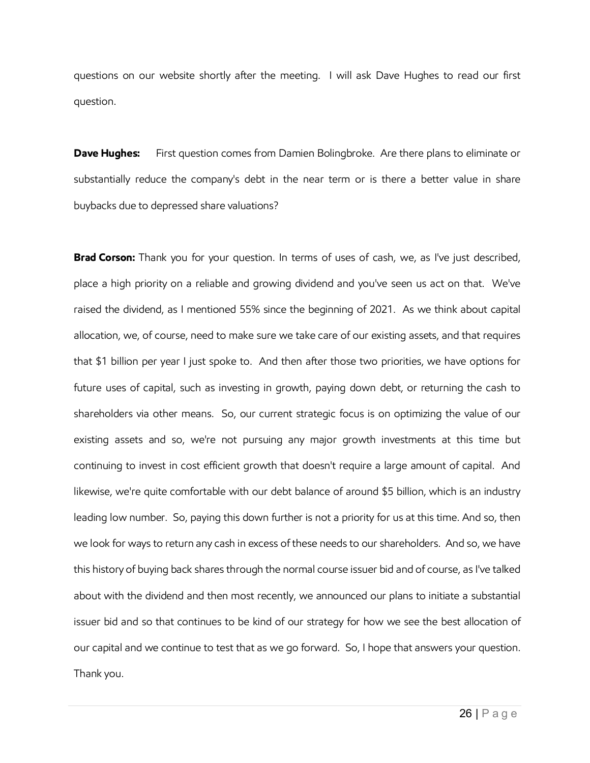questions on our website shortly after the meeting. I will ask Dave Hughes to read our first question.

**Dave Hughes:** First question comes from Damien Bolingbroke. Are there plans to eliminate or substantially reduce the company's debt in the near term or is there a better value in share buybacks due to depressed share valuations?

**Brad Corson:** Thank you for your question. In terms of uses of cash, we, as I've just described, place a high priority on a reliable and growing dividend and you've seen us act on that. We've raised the dividend, as I mentioned 55% since the beginning of 2021. As we think about capital allocation, we, of course, need to make sure we take care of our existing assets, and that requires that \$1 billion per year I just spoke to. And then after those two priorities, we have options for future uses of capital, such as investing in growth, paying down debt, or returning the cash to shareholders via other means. So, our current strategic focus is on optimizing the value of our existing assets and so, we're not pursuing any major growth investments at this time but continuing to invest in cost efficient growth that doesn't require a large amount of capital. And likewise, we're quite comfortable with our debt balance of around \$5 billion, which is an industry leading low number. So, paying this down further is not a priority for us at this time. And so, then we look for ways to return any cash in excess of these needs to our shareholders. And so, we have this history of buying back shares through the normal course issuer bid and of course, as I've talked about with the dividend and then most recently, we announced our plans to initiate a substantial issuer bid and so that continues to be kind of our strategy for how we see the best allocation of our capital and we continue to test that as we go forward. So, I hope that answers your question. Thank you.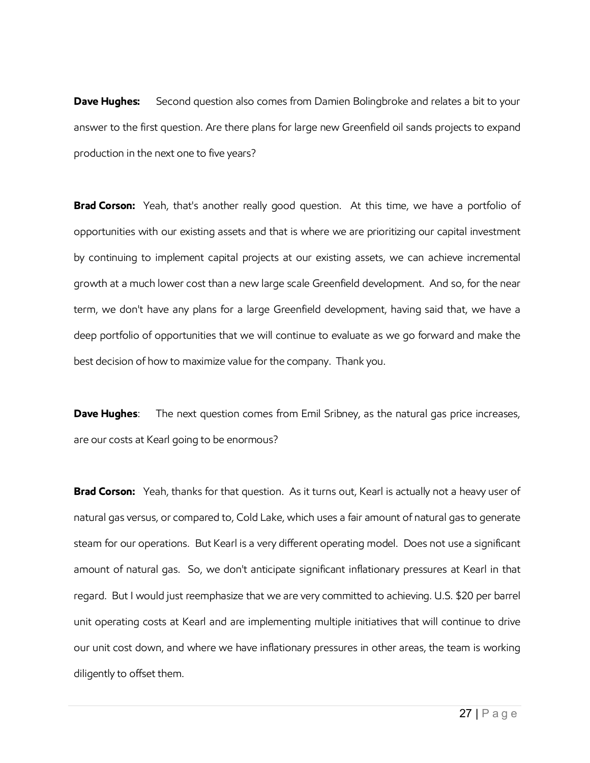**Dave Hughes:** Second question also comes from Damien Bolingbroke and relates a bit to your answer to the first question. Are there plans for large new Greenfield oil sands projects to expand production in the next one to five years?

**Brad Corson:** Yeah, that's another really good question. At this time, we have a portfolio of opportunities with our existing assets and that is where we are prioritizing our capital investment by continuing to implement capital projects at our existing assets, we can achieve incremental growth at a much lower cost than a new large scale Greenfield development. And so, for the near term, we don't have any plans for a large Greenfield development, having said that, we have a deep portfolio of opportunities that we will continue to evaluate as we go forward and make the best decision of how to maximize value for the company. Thank you.

**Dave Hughes:** The next question comes from Emil Sribney, as the natural gas price increases, are our costs at Kearl going to be enormous?

**Brad Corson:** Yeah, thanks for that question. As it turns out, Kearl is actually not a heavy user of natural gas versus, or compared to, Cold Lake, which uses a fair amount of natural gas to generate steam for our operations. But Kearl is a very different operating model. Does not use a significant amount of natural gas. So, we don't anticipate significant inflationary pressures at Kearl in that regard. But I would just reemphasize that we are very committed to achieving. U.S. \$20 per barrel unit operating costs at Kearl and are implementing multiple initiatives that will continue to drive our unit cost down, and where we have inflationary pressures in other areas, the team is working diligently to offset them.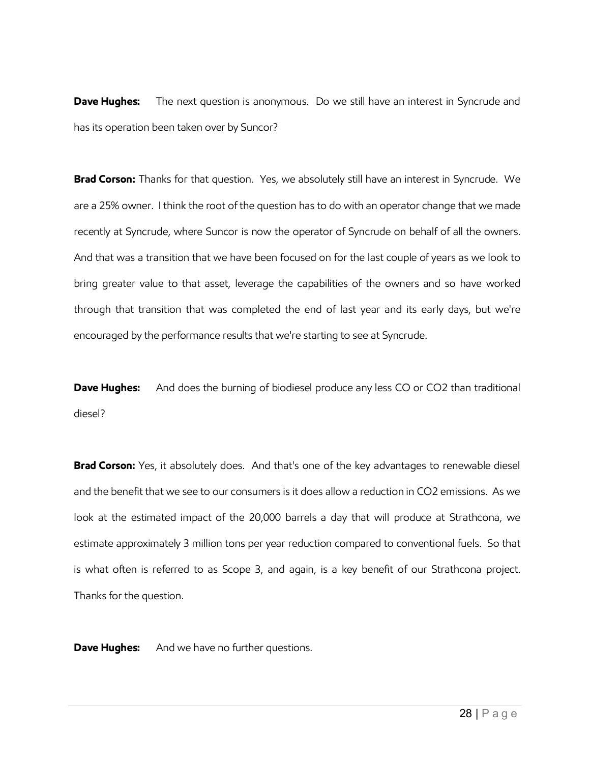**Dave Hughes:** The next question is anonymous. Do we still have an interest in Syncrude and has its operation been taken over by Suncor?

**Brad Corson:** Thanks for that question. Yes, we absolutely still have an interest in Syncrude. We are a 25% owner. I think the root of the question has to do with an operator change that we made recently at Syncrude, where Suncor is now the operator of Syncrude on behalf of all the owners. And that was a transition that we have been focused on for the last couple of years as we look to bring greater value to that asset, leverage the capabilities of the owners and so have worked through that transition that was completed the end of last year and its early days, but we're encouraged by the performance results that we're starting to see at Syncrude.

**Dave Hughes:** And does the burning of biodiesel produce any less CO or CO2 than traditional diesel?

**Brad Corson:** Yes, it absolutely does. And that's one of the key advantages to renewable diesel and the benefit that we see to our consumers is it does allow a reduction in CO2 emissions. As we look at the estimated impact of the 20,000 barrels a day that will produce at Strathcona, we estimate approximately 3 million tons per year reduction compared to conventional fuels. So that is what often is referred to as Scope 3, and again, is a key benefit of our Strathcona project. Thanks for the question.

**Dave Hughes:** And we have no further questions.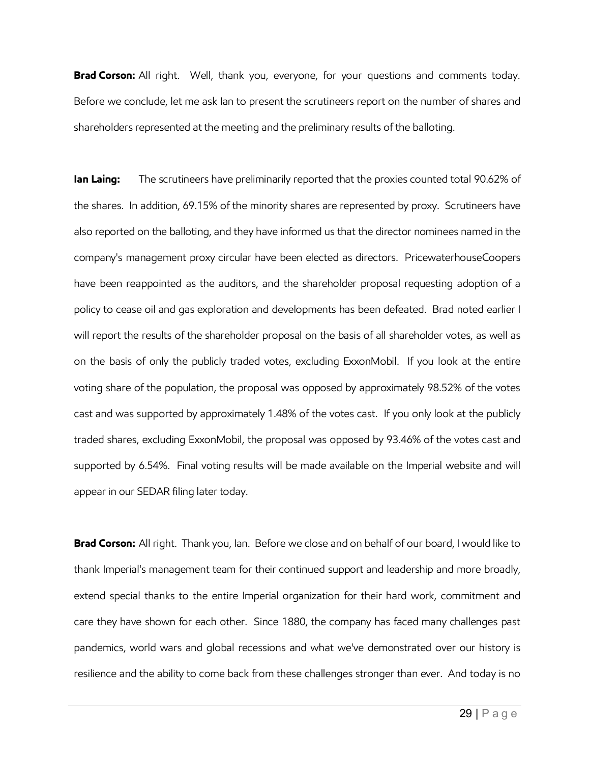**Brad Corson:** All right. Well, thank you, everyone, for your questions and comments today. Before we conclude, let me ask Ian to present the scrutineers report on the number of shares and shareholders represented at the meeting and the preliminary results of the balloting.

**Ian Laing:** The scrutineers have preliminarily reported that the proxies counted total 90.62% of the shares. In addition, 69.15% of the minority shares are represented by proxy. Scrutineers have also reported on the balloting, and they have informed us that the director nominees named in the company's management proxy circular have been elected as directors. PricewaterhouseCoopers have been reappointed as the auditors, and the shareholder proposal requesting adoption of a policy to cease oil and gas exploration and developments has been defeated. Brad noted earlier I will report the results of the shareholder proposal on the basis of all shareholder votes, as well as on the basis of only the publicly traded votes, excluding ExxonMobil. If you look at the entire voting share of the population, the proposal was opposed by approximately 98.52% of the votes cast and was supported by approximately 1.48% of the votes cast. If you only look at the publicly traded shares, excluding ExxonMobil, the proposal was opposed by 93.46% of the votes cast and supported by 6.54%. Final voting results will be made available on the Imperial website and will appear in our SEDAR filing later today.

**Brad Corson:** All right. Thank you, Ian. Before we close and on behalf of our board, I would like to thank Imperial's management team for their continued support and leadership and more broadly, extend special thanks to the entire Imperial organization for their hard work, commitment and care they have shown for each other. Since 1880, the company has faced many challenges past pandemics, world wars and global recessions and what we've demonstrated over our history is resilience and the ability to come back from these challenges stronger than ever. And today is no